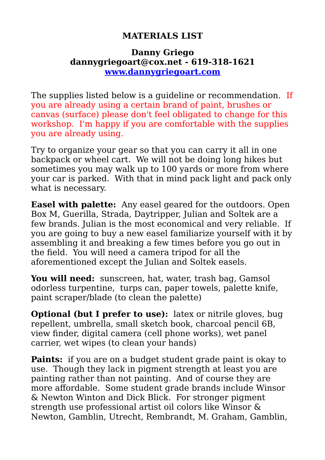#### **MATERIALS LIST**

#### **Danny Griego dannygriegoart@cox.net - 619-318-1621 [www.dannygriegoart.com](http://www.dannygriegoart.com/)**

The supplies listed below is a guideline or recommendation. If you are already using a certain brand of paint, brushes or canvas (surface) please don't feel obligated to change for this workshop. I'm happy if you are comfortable with the supplies you are already using.

Try to organize your gear so that you can carry it all in one backpack or wheel cart. We will not be doing long hikes but sometimes you may walk up to 100 yards or more from where your car is parked. With that in mind pack light and pack only what is necessary.

**Easel with palette:** Any easel geared for the outdoors. Open Box M, Guerilla, Strada, Daytripper, Julian and Soltek are a few brands. Julian is the most economical and very reliable. If you are going to buy a new easel familiarize yourself with it by assembling it and breaking a few times before you go out in the field. You will need a camera tripod for all the aforementioned except the Julian and Soltek easels.

**You will need:** sunscreen, hat, water, trash bag, Gamsol odorless turpentine, turps can, paper towels, palette knife, paint scraper/blade (to clean the palette)

**Optional (but I prefer to use):** latex or nitrile gloves, bug repellent, umbrella, small sketch book, charcoal pencil 6B, view finder, digital camera (cell phone works), wet panel carrier, wet wipes (to clean your hands)

**Paints:** if you are on a budget student grade paint is okay to use. Though they lack in pigment strength at least you are painting rather than not painting. And of course they are more affordable. Some student grade brands include Winsor & Newton Winton and Dick Blick. For stronger pigment strength use professional artist oil colors like Winsor & Newton, Gamblin, Utrecht, Rembrandt, M. Graham, Gamblin,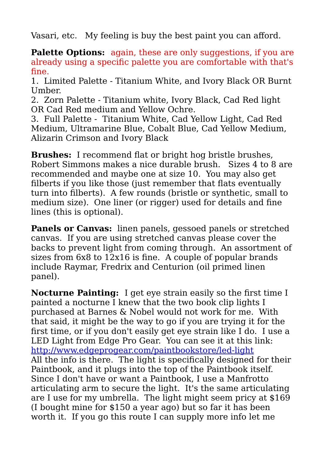Vasari, etc. My feeling is buy the best paint you can afford.

**Palette Options:** again, these are only suggestions, if you are already using a specific palette you are comfortable with that's fine.

1. Limited Palette - Titanium White, and Ivory Black OR Burnt Umber.

2. Zorn Palette - Titanium white, Ivory Black, Cad Red light OR Cad Red medium and Yellow Ochre.

3. Full Palette - Titanium White, Cad Yellow Light, Cad Red Medium, Ultramarine Blue, Cobalt Blue, Cad Yellow Medium, Alizarin Crimson and Ivory Black

**Brushes:** I recommend flat or bright hog bristle brushes, Robert Simmons makes a nice durable brush. Sizes 4 to 8 are recommended and maybe one at size 10. You may also get filberts if you like those (just remember that flats eventually turn into filberts). A few rounds (bristle or synthetic, small to medium size). One liner (or rigger) used for details and fine lines (this is optional).

**Panels or Canvas:** linen panels, gessoed panels or stretched canvas. If you are using stretched canvas please cover the backs to prevent light from coming through. An assortment of sizes from 6x8 to 12x16 is fine. A couple of popular brands include Raymar, Fredrix and Centurion (oil primed linen panel).

**Nocturne Painting:** I get eye strain easily so the first time I painted a nocturne I knew that the two book clip lights I purchased at Barnes & Nobel would not work for me. With that said, it might be the way to go if you are trying it for the first time, or if you don't easily get eye strain like I do. I use a LED Light from Edge Pro Gear. You can see it at this link: <http://www.edgeprogear.com/paintbookstore/led-light> All the info is there. The light is specifically designed for their Paintbook, and it plugs into the top of the Paintbook itself. Since I don't have or want a Paintbook, I use a Manfrotto articulating arm to secure the light. It's the same articulating are I use for my umbrella. The light might seem pricy at \$169 (I bought mine for \$150 a year ago) but so far it has been worth it. If you go this route I can supply more info let me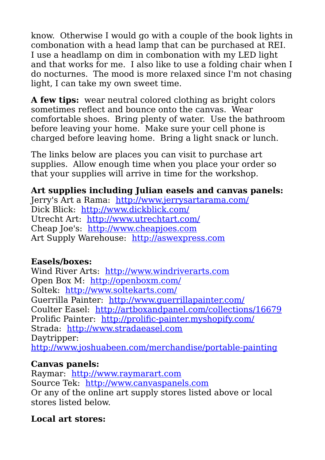know. Otherwise I would go with a couple of the book lights in combonation with a head lamp that can be purchased at REI. I use a headlamp on dim in combonation with my LED light and that works for me. I also like to use a folding chair when I do nocturnes. The mood is more relaxed since I'm not chasing light, I can take my own sweet time.

**A few tips:** wear neutral colored clothing as bright colors sometimes reflect and bounce onto the canvas. Wear comfortable shoes. Bring plenty of water. Use the bathroom before leaving your home. Make sure your cell phone is charged before leaving home. Bring a light snack or lunch.

The links below are places you can visit to purchase art supplies. Allow enough time when you place your order so that your supplies will arrive in time for the workshop.

## **Art supplies including Julian easels and canvas panels:**

Jerry's Art a Rama: <http://www.jerrysartarama.com/> Dick Blick: <http://www.dickblick.com/> Utrecht Art: <http://www.utrechtart.com/> Cheap Joe's: [http://www.cheapjoes.com](http://www.cheapjoes.com/) Art Supply Warehouse: [http://aswexpress.com](http://aswexpress.com/)

## **Easels/boxes:**

Wind River Arts: [http://www.windriverarts.com](http://www.windriverarts.com/) Open Box M: <http://openboxm.com/> Soltek: <http://www.soltekarts.com/> Guerrilla Painter: <http://www.guerrillapainter.com/> Coulter Easel: <http://artboxandpanel.com/collections/16679> Prolific Painter: <http://prolific-painter.myshopify.com/> Strada: [http://www.stradaeasel.com](http://www.stradaeasel.com/) Daytripper: <http://www.joshuabeen.com/merchandise/portable-painting>

## **Canvas panels:**

Raymar: [http://www.raymarart.com](http://www.raymarart.com/) Source Tek: [http://www.canvaspanels.com](http://www.canvaspanels.com/) Or any of the online art supply stores listed above or local stores listed below.

# **Local art stores:**